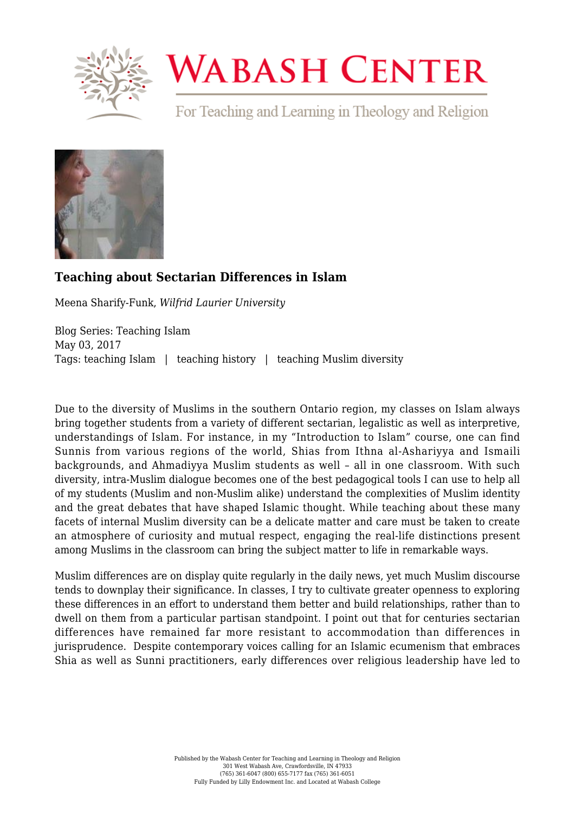

## **WABASH CENTER**

For Teaching and Learning in Theology and Religion



## **[Teaching about Sectarian Differences in Islam](https://www.wabashcenter.wabash.edu/2017/05/teaching-about-sectarian-differences-in-islam/)**

Meena Sharify-Funk, *Wilfrid Laurier University*

Blog Series: Teaching Islam May 03, 2017 Tags: teaching Islam | teaching history | teaching Muslim diversity

Due to the diversity of Muslims in the southern Ontario region, my classes on Islam always bring together students from a variety of different sectarian, legalistic as well as interpretive, understandings of Islam. For instance, in my "Introduction to Islam" course, one can find Sunnis from various regions of the world, Shias from Ithna al-Ashariyya and Ismaili backgrounds, and Ahmadiyya Muslim students as well – all in one classroom. With such diversity, intra-Muslim dialogue becomes one of the best pedagogical tools I can use to help all of my students (Muslim and non-Muslim alike) understand the complexities of Muslim identity and the great debates that have shaped Islamic thought. While teaching about these many facets of internal Muslim diversity can be a delicate matter and care must be taken to create an atmosphere of curiosity and mutual respect, engaging the real-life distinctions present among Muslims in the classroom can bring the subject matter to life in remarkable ways.

Muslim differences are on display quite regularly in the daily news, yet much Muslim discourse tends to downplay their significance. In classes, I try to cultivate greater openness to exploring these differences in an effort to understand them better and build relationships, rather than to dwell on them from a particular partisan standpoint. I point out that for centuries sectarian differences have remained far more resistant to accommodation than differences in jurisprudence. Despite contemporary voices calling for an Islamic ecumenism that embraces Shia as well as Sunni practitioners, early differences over religious leadership have led to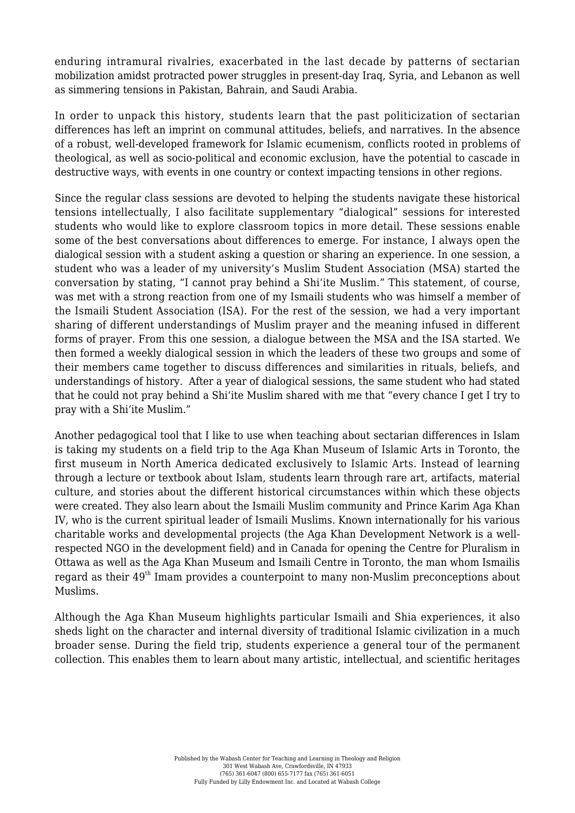enduring intramural rivalries, exacerbated in the last decade by patterns of sectarian mobilization amidst protracted power struggles in present-day Iraq, Syria, and Lebanon as well as simmering tensions in Pakistan, Bahrain, and Saudi Arabia.

In order to unpack this history, students learn that the past politicization of sectarian differences has left an imprint on communal attitudes, beliefs, and narratives. In the absence of a robust, well-developed framework for Islamic ecumenism, conflicts rooted in problems of theological, as well as socio-political and economic exclusion, have the potential to cascade in destructive ways, with events in one country or context impacting tensions in other regions.

Since the regular class sessions are devoted to helping the students navigate these historical tensions intellectually, I also facilitate supplementary "dialogical" sessions for interested students who would like to explore classroom topics in more detail. These sessions enable some of the best conversations about differences to emerge. For instance, I always open the dialogical session with a student asking a question or sharing an experience. In one session, a student who was a leader of my university's Muslim Student Association (MSA) started the conversation by stating, "I cannot pray behind a Shi'ite Muslim." This statement, of course, was met with a strong reaction from one of my Ismaili students who was himself a member of the Ismaili Student Association (ISA). For the rest of the session, we had a very important sharing of different understandings of Muslim prayer and the meaning infused in different forms of prayer. From this one session, a dialogue between the MSA and the ISA started. We then formed a weekly dialogical session in which the leaders of these two groups and some of their members came together to discuss differences and similarities in rituals, beliefs, and understandings of history. After a year of dialogical sessions, the same student who had stated that he could not pray behind a Shi'ite Muslim shared with me that "every chance I get I try to pray with a Shi'ite Muslim."

Another pedagogical tool that I like to use when teaching about sectarian differences in Islam is taking my students on a field trip to the Aga Khan Museum of Islamic Arts in Toronto, the first museum in North America dedicated exclusively to Islamic Arts. Instead of learning through a lecture or textbook about Islam, students learn through rare art, artifacts, material culture, and stories about the different historical circumstances within which these objects were created. They also learn about the Ismaili Muslim community and Prince Karim Aga Khan IV, who is the current spiritual leader of Ismaili Muslims. Known internationally for his various charitable works and developmental projects (the Aga Khan Development Network is a wellrespected NGO in the development field) and in Canada for opening the Centre for Pluralism in Ottawa as well as the Aga Khan Museum and Ismaili Centre in Toronto, the man whom Ismailis regard as their 49<sup>th</sup> Imam provides a counterpoint to many non-Muslim preconceptions about Muslims.

Although the Aga Khan Museum highlights particular Ismaili and Shia experiences, it also sheds light on the character and internal diversity of traditional Islamic civilization in a much broader sense. During the field trip, students experience a general tour of the permanent collection. This enables them to learn about many artistic, intellectual, and scientific heritages